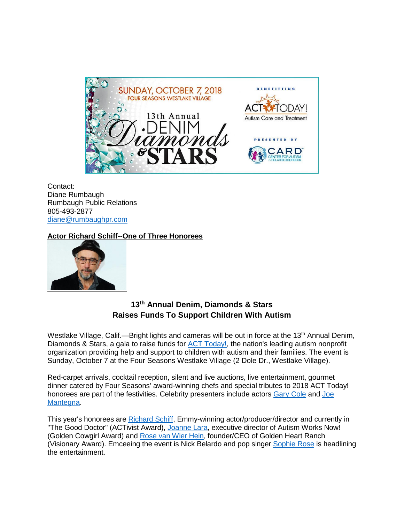

Contact: Diane Rumbaugh Rumbaugh Public Relations 805-493-2877 [diane@rumbaughpr.com](mailto:diane@rumbaughpr.com)

## **Actor Richard Schiff--One of Three Honorees**



## **13th Annual Denim, Diamonds & Stars Raises Funds To Support Children With Autism**

Westlake Village, Calif.—Bright lights and cameras will be out in force at the 13<sup>th</sup> Annual Denim, Diamonds & Stars, a gala to raise funds for **ACT Today!**, the nation's leading autism nonprofit organization providing help and support to children with autism and their families. The event is Sunday, October 7 at the Four Seasons Westlake Village (2 Dole Dr., Westlake Village).

Red-carpet arrivals, cocktail reception, silent and live auctions, live entertainment, gourmet dinner catered by Four Seasons' award-winning chefs and special tributes to 2018 ACT Today! honorees are part of the festivities. Celebrity presenters include actors [Gary Cole](https://www.imdb.com/name/nm0170550/) and [Joe](https://www.imdb.com/name/nm0001505/)  [Mantegna.](https://www.imdb.com/name/nm0001505/)

This year's honorees are [Richard Schiff,](http://officialrichardschiff.com/) Emmy-winning actor/producer/director and currently in "The Good Doctor" (ACTivist Award), [Joanne Lara,](http://autismworksnow.org/joanne-lara/) executive director of Autism Works Now! (Golden Cowgirl Award) and [Rose van Wier Hein,](https://www.goldenheartranch.org/our-story/) founder/CEO of Golden Heart Ranch (Visionary Award). Emceeing the event is Nick Belardo and pop singer [Sophie Rose](http://sophierose.com/#home) is headlining the entertainment.